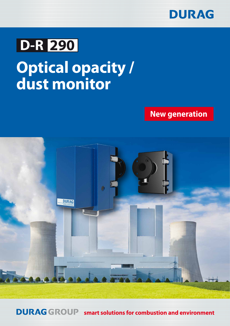

# **D-R 290**

# **Optical opacity / dust monitor**

## **New generation**



**DURAGGROUP smart solutions for combustion and environment**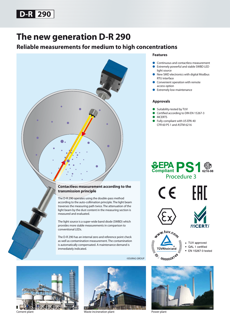

## **The new generation D-R 290**

## **Reliable measurements for medium to high concentrations**



#### **Features**

- Continuous and contactless measurement **Extremely powerful and stable SWBD LED**
- light source New SMD electronics with digital Modbus
- RTU interface
- Convenient operation with remote access option
- **Extremely low-maintenance**

#### **Approvals**

- Suitability-tested by TUV
- Certified according to DIN EN 15267-3
- **MCERTS**
- Fully compliant with US EPA 40 CFR 60 PS 1 and ASTM 6216







 $MCERTS$ 



- TUV approved
- QAL 1 certified
- EN 15267-3 tested
- 





Cement plant Waste incineration plant Power plant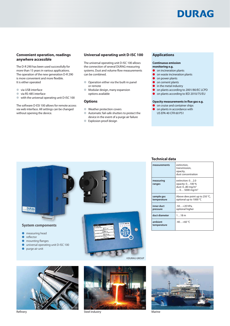## DURAG

#### **Convenient operation, readings anywhere accessible**

The D-R 290 has been used successfully for more than 15 years in various applications. The operation of the new generation D-R 290 is more convenient and more flexible. It is either operated

- via USB interface
- via RS-485 interface
- with the universal operating unit D-ISC 100

The software D-ESI 100 allows for remote access via web interface. All settings can be changed without opening the device.

#### **Universal operating unit D-ISC 100**

The universal operating unit D-ISC 100 allows the connection of several DURAG measuring systems. Dust and volume flow measurements can be combined.

- Operation either via the built-in panel or remote
- Modular design, many expansion options available

#### **Options**

- Weather protection covers
- Automatic fail-safe shutters to protect the device in the event of a purge air failure
- Explosion proof design

#### **Applications**

#### **Continuous emission**

- **monitoring e.g.**
- on incineration plants ● on waste incineration plants
- on power plants
- on cement plants
- $\bullet$  in the metal industry
- 
- on plants according to 2001/80/EC LCPD ● on plants according to IED 2010/75/EU
- 

#### **Opacity measurements in flue gas e.g.**

- **O** on cruise and container ships
- on plants in accordance with US EPA 40 CFR 60 PS1

## **DURAG System components**  $\circ$  $0.820$ ● measuring head reflector

- mounting flanges
- 
- universal operating unit D-ISC 100
- purge air unit







Refinery **Steel industry** Steel industry **Steel industry Steel industry Steel industry Steel industry Marine** 



| measurements              | extinction,<br>transmission,<br>opacity,<br>dust concentration                                          |
|---------------------------|---------------------------------------------------------------------------------------------------------|
| measuring<br>ranges       | extinction: 02.0<br>opacity: 0100 %<br>dust: 080 mg/m <sup>3</sup><br>$\ldots$ 0 5000 mg/m <sup>3</sup> |
| sample gas<br>temperature | Above dew point up to 250 °C,<br>optional up to 1000 °C                                                 |
| inner duct<br>pressure    | -50+20 hPa,<br>optional higher                                                                          |
| duct diameter             | 118m                                                                                                    |
| ambient<br>temperature    | $-40+60$ °C                                                                                             |

#### **Technical data**